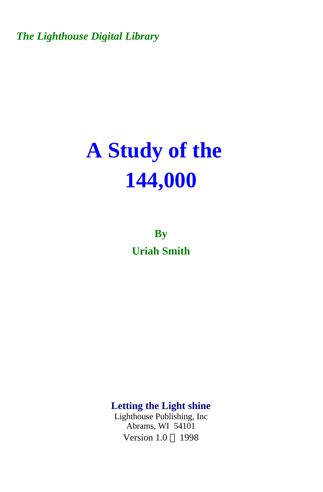*The Lighthouse Digital Library* 

## **A Study of the 144,000**

**By Uriah Smith** 

**Letting the Light shine** 

Lighthouse Publishing, Inc Abrams, WI 54101 Version  $1.0 \odot 1998$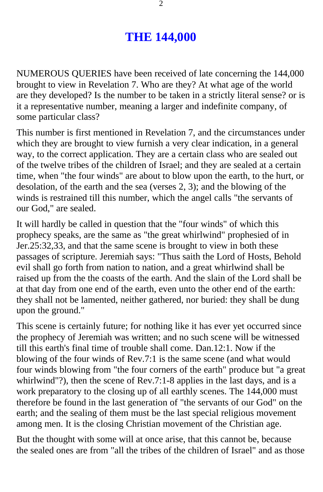## **THE 144,000**

NUMEROUS QUERIES have been received of late concerning the 144,000 brought to view in Revelation 7. Who are they? At what age of the world are they developed? Is the number to be taken in a strictly literal sense? or is it a representative number, meaning a larger and indefinite company, of some particular class?

This number is first mentioned in Revelation 7, and the circumstances under which they are brought to view furnish a very clear indication, in a general way, to the correct application. They are a certain class who are sealed out of the twelve tribes of the children of Israel; and they are sealed at a certain time, when "the four winds" are about to blow upon the earth, to the hurt, or desolation, of the earth and the sea (verses 2, 3); and the blowing of the winds is restrained till this number, which the angel calls "the servants of our God," are sealed.

It will hardly be called in question that the "four winds" of which this prophecy speaks, are the same as "the great whirlwind" prophesied of in Jer.25:32,33, and that the same scene is brought to view in both these passages of scripture. Jeremiah says: "Thus saith the Lord of Hosts, Behold evil shall go forth from nation to nation, and a great whirlwind shall be raised up from the the coasts of the earth. And the slain of the Lord shall be at that day from one end of the earth, even unto the other end of the earth: they shall not be lamented, neither gathered, nor buried: they shall be dung upon the ground."

This scene is certainly future; for nothing like it has ever yet occurred since the prophecy of Jeremiah was written; and no such scene will be witnessed till this earth's final time of trouble shall come. Dan.12:1. Now if the blowing of the four winds of Rev.7:1 is the same scene (and what would four winds blowing from "the four corners of the earth" produce but "a great whirlwind"?), then the scene of Rev.7:1-8 applies in the last days, and is a work preparatory to the closing up of all earthly scenes. The 144,000 must therefore be found in the last generation of "the servants of our God" on the earth; and the sealing of them must be the last special religious movement among men. It is the closing Christian movement of the Christian age.

But the thought with some will at once arise, that this cannot be, because the sealed ones are from "all the tribes of the children of Israel" and as those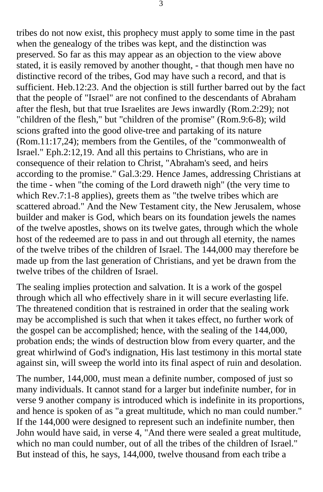tribes do not now exist, this prophecy must apply to some time in the past when the genealogy of the tribes was kept, and the distinction was preserved. So far as this may appear as an objection to the view above stated, it is easily removed by another thought, - that though men have no distinctive record of the tribes, God may have such a record, and that is sufficient. Heb.12:23. And the objection is still further barred out by the fact that the people of "Israel" are not confined to the descendants of Abraham after the flesh, but that true Israelites are Jews inwardly (Rom.2:29); not "children of the flesh," but "children of the promise" (Rom.9:6-8); wild scions grafted into the good olive-tree and partaking of its nature (Rom.11:17,24); members from the Gentiles, of the "commonwealth of Israel." Eph.2:12,19. And all this pertains to Christians, who are in consequence of their relation to Christ, "Abraham's seed, and heirs according to the promise." Gal.3:29. Hence James, addressing Christians at the time - when "the coming of the Lord draweth nigh" (the very time to which Rev.7:1-8 applies), greets them as "the twelve tribes which are scattered abroad." And the New Testament city, the New Jerusalem, whose builder and maker is God, which bears on its foundation jewels the names of the twelve apostles, shows on its twelve gates, through which the whole host of the redeemed are to pass in and out through all eternity, the names of the twelve tribes of the children of Israel. The 144,000 may therefore be made up from the last generation of Christians, and yet be drawn from the twelve tribes of the children of Israel.

The sealing implies protection and salvation. It is a work of the gospel through which all who effectively share in it will secure everlasting life. The threatened condition that is restrained in order that the sealing work may be accomplished is such that when it takes effect, no further work of the gospel can be accomplished; hence, with the sealing of the 144,000, probation ends; the winds of destruction blow from every quarter, and the great whirlwind of God's indignation, His last testimony in this mortal state against sin, will sweep the world into its final aspect of ruin and desolation.

The number, 144,000, must mean a definite number, composed of just so many individuals. It cannot stand for a larger but indefinite number, for in verse 9 another company is introduced which is indefinite in its proportions, and hence is spoken of as "a great multitude, which no man could number." If the 144,000 were designed to represent such an indefinite number, then John would have said, in verse 4, "And there were sealed a great multitude, which no man could number, out of all the tribes of the children of Israel." But instead of this, he says, 144,000, twelve thousand from each tribe a

3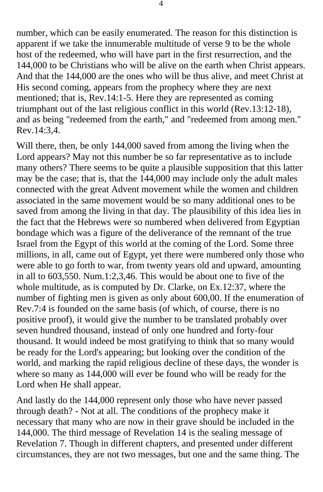number, which can be easily enumerated. The reason for this distinction is apparent if we take the innumerable multitude of verse 9 to be the whole host of the redeemed, who will have part in the first resurrection, and the 144,000 to be Christians who will be alive on the earth when Christ appears. And that the 144,000 are the ones who will be thus alive, and meet Christ at His second coming, appears from the prophecy where they are next mentioned; that is, Rev.14:1-5. Here they are represented as coming triumphant out of the last religious conflict in this world (Rev.13:12-18), and as being "redeemed from the earth," and "redeemed from among men." Rev.14:3,4.

Will there, then, be only 144,000 saved from among the living when the Lord appears? May not this number be so far representative as to include many others? There seems to be quite a plausible supposition that this latter may be the case; that is, that the 144,000 may include only the adult males connected with the great Advent movement while the women and children associated in the same movement would be so many additional ones to be saved from among the living in that day. The plausibility of this idea lies in the fact that the Hebrews were so numbered when delivered from Egyptian bondage which was a figure of the deliverance of the remnant of the true Israel from the Egypt of this world at the coming of the Lord. Some three millions, in all, came out of Egypt, yet there were numbered only those who were able to go forth to war, from twenty years old and upward, amounting in all to 603,550. Num.1:2,3,46. This would be about one to five of the whole multitude, as is computed by Dr. Clarke, on Ex.12:37, where the number of fighting men is given as only about 600,00. If the enumeration of Rev.7:4 is founded on the same basis (of which, of course, there is no positive proof), it would give the number to be translated probably over seven hundred thousand, instead of only one hundred and forty-four thousand. It would indeed be most gratifying to think that so many would be ready for the Lord's appearing; but looking over the condition of the world, and marking the rapid religious decline of these days, the wonder is where so many as 144,000 will ever be found who will be ready for the Lord when He shall appear.

And lastly do the 144,000 represent only those who have never passed through death? - Not at all. The conditions of the prophecy make it necessary that many who are now in their grave should be included in the 144,000. The third message of Revelation 14 is the sealing message of Revelation 7. Though in different chapters, and presented under different circumstances, they are not two messages, but one and the same thing. The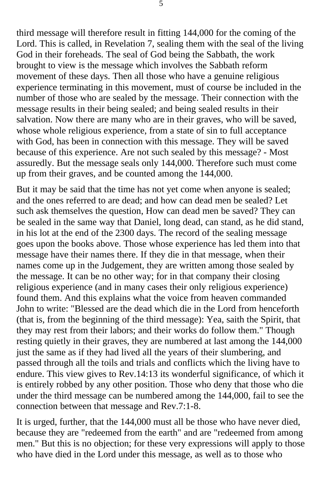third message will therefore result in fitting 144,000 for the coming of the Lord. This is called, in Revelation 7, sealing them with the seal of the living God in their foreheads. The seal of God being the Sabbath, the work brought to view is the message which involves the Sabbath reform movement of these days. Then all those who have a genuine religious experience terminating in this movement, must of course be included in the number of those who are sealed by the message. Their connection with the message results in their being sealed; and being sealed results in their salvation. Now there are many who are in their graves, who will be saved, whose whole religious experience, from a state of sin to full acceptance with God, has been in connection with this message. They will be saved because of this experience. Are not such sealed by this message? - Most assuredly. But the message seals only 144,000. Therefore such must come up from their graves, and be counted among the 144,000.

But it may be said that the time has not yet come when anyone is sealed; and the ones referred to are dead; and how can dead men be sealed? Let such ask themselves the question, How can dead men be saved? They can be sealed in the same way that Daniel, long dead, can stand, as he did stand, in his lot at the end of the 2300 days. The record of the sealing message goes upon the books above. Those whose experience has led them into that message have their names there. If they die in that message, when their names come up in the Judgement, they are written among those sealed by the message. It can be no other way; for in that company their closing religious experience (and in many cases their only religious experience) found them. And this explains what the voice from heaven commanded John to write: "Blessed are the dead which die in the Lord from henceforth (that is, from the beginning of the third message): Yea, saith the Spirit, that they may rest from their labors; and their works do follow them." Though resting quietly in their graves, they are numbered at last among the 144,000 just the same as if they had lived all the years of their slumbering, and passed through all the toils and trials and conflicts which the living have to endure. This view gives to Rev.14:13 its wonderful significance, of which it is entirely robbed by any other position. Those who deny that those who die under the third message can be numbered among the 144,000, fail to see the connection between that message and Rev.7:1-8.

It is urged, further, that the 144,000 must all be those who have never died, because they are "redeemed from the earth" and are "redeemed from among men." But this is no objection; for these very expressions will apply to those who have died in the Lord under this message, as well as to those who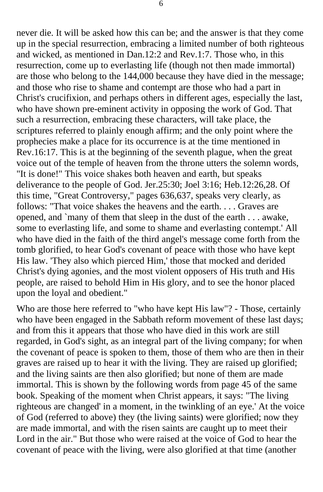never die. It will be asked how this can be; and the answer is that they come up in the special resurrection, embracing a limited number of both righteous and wicked, as mentioned in Dan.12:2 and Rev.1:7. Those who, in this resurrection, come up to everlasting life (though not then made immortal) are those who belong to the 144,000 because they have died in the message; and those who rise to shame and contempt are those who had a part in Christ's crucifixion, and perhaps others in different ages, especially the last, who have shown pre-eminent activity in opposing the work of God. That such a resurrection, embracing these characters, will take place, the scriptures referred to plainly enough affirm; and the only point where the prophecies make a place for its occurrence is at the time mentioned in Rev.16:17. This is at the beginning of the seventh plague, when the great voice out of the temple of heaven from the throne utters the solemn words, "It is done!" This voice shakes both heaven and earth, but speaks deliverance to the people of God. Jer.25:30; Joel 3:16; Heb.12:26,28. Of this time, "Great Controversy," pages 636,637, speaks very clearly, as follows: "That voice shakes the heavens and the earth. . . . Graves are opened, and `many of them that sleep in the dust of the earth . . . awake, some to everlasting life, and some to shame and everlasting contempt.' All who have died in the faith of the third angel's message come forth from the tomb glorified, to hear God's covenant of peace with those who have kept His law. 'They also which pierced Him,' those that mocked and derided Christ's dying agonies, and the most violent opposers of His truth and His people, are raised to behold Him in His glory, and to see the honor placed upon the loyal and obedient."

Who are those here referred to "who have kept His law"? - Those, certainly who have been engaged in the Sabbath reform movement of these last days; and from this it appears that those who have died in this work are still regarded, in God's sight, as an integral part of the living company; for when the covenant of peace is spoken to them, those of them who are then in their graves are raised up to hear it with the living. They are raised up glorified; and the living saints are then also glorified; but none of them are made immortal. This is shown by the following words from page 45 of the same book. Speaking of the moment when Christ appears, it says: "The living righteous are changed' in a moment, in the twinkling of an eye.' At the voice of God (referred to above) they (the living saints) were glorified; now they are made immortal, and with the risen saints are caught up to meet their Lord in the air." But those who were raised at the voice of God to hear the covenant of peace with the living, were also glorified at that time (another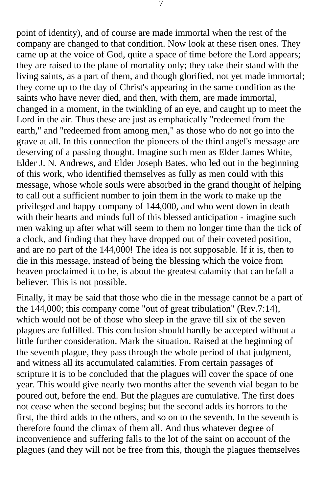point of identity), and of course are made immortal when the rest of the company are changed to that condition. Now look at these risen ones. They came up at the voice of God, quite a space of time before the Lord appears; they are raised to the plane of mortality only; they take their stand with the living saints, as a part of them, and though glorified, not yet made immortal; they come up to the day of Christ's appearing in the same condition as the saints who have never died, and then, with them, are made immortal, changed in a moment, in the twinkling of an eye, and caught up to meet the Lord in the air. Thus these are just as emphatically "redeemed from the earth," and "redeemed from among men," as those who do not go into the grave at all. In this connection the pioneers of the third angel's message are deserving of a passing thought. Imagine such men as Elder James White, Elder J. N. Andrews, and Elder Joseph Bates, who led out in the beginning of this work, who identified themselves as fully as men could with this message, whose whole souls were absorbed in the grand thought of helping to call out a sufficient number to join them in the work to make up the privileged and happy company of 144,000, and who went down in death with their hearts and minds full of this blessed anticipation - imagine such men waking up after what will seem to them no longer time than the tick of a clock, and finding that they have dropped out of their coveted position, and are no part of the 144,000! The idea is not supposable. If it is, then to die in this message, instead of being the blessing which the voice from heaven proclaimed it to be, is about the greatest calamity that can befall a believer. This is not possible.

Finally, it may be said that those who die in the message cannot be a part of the 144,000; this company come "out of great tribulation" (Rev.7:14), which would not be of those who sleep in the grave till six of the seven plagues are fulfilled. This conclusion should hardly be accepted without a little further consideration. Mark the situation. Raised at the beginning of the seventh plague, they pass through the whole period of that judgment, and witness all its accumulated calamities. From certain passages of scripture it is to be concluded that the plagues will cover the space of one year. This would give nearly two months after the seventh vial began to be poured out, before the end. But the plagues are cumulative. The first does not cease when the second begins; but the second adds its horrors to the first, the third adds to the others, and so on to the seventh. In the seventh is therefore found the climax of them all. And thus whatever degree of inconvenience and suffering falls to the lot of the saint on account of the plagues (and they will not be free from this, though the plagues themselves